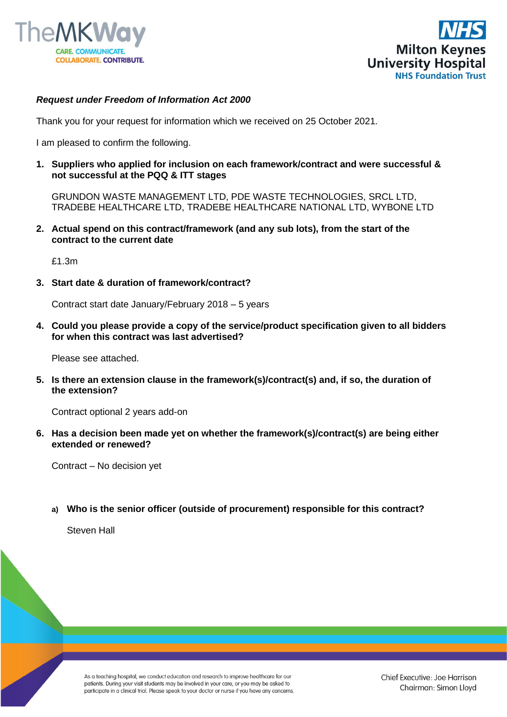



#### *Request under Freedom of Information Act 2000*

Thank you for your request for information which we received on 25 October 2021.

I am pleased to confirm the following.

**1. Suppliers who applied for inclusion on each framework/contract and were successful & not successful at the PQQ & ITT stages**

GRUNDON WASTE MANAGEMENT LTD, PDE WASTE TECHNOLOGIES, SRCL LTD, TRADEBE HEALTHCARE LTD, TRADEBE HEALTHCARE NATIONAL LTD, WYBONE LTD

**2. Actual spend on this contract/framework (and any sub lots), from the start of the contract to the current date**

£1.3m

**3. Start date & duration of framework/contract?**

Contract start date January/February 2018 – 5 years

**4. Could you please provide a copy of the service/product specification given to all bidders for when this contract was last advertised?**

Please see attached.

**5. Is there an extension clause in the framework(s)/contract(s) and, if so, the duration of the extension?**

Contract optional 2 years add-on

**6. Has a decision been made yet on whether the framework(s)/contract(s) are being either extended or renewed?**

Contract – No decision yet

**a) Who is the senior officer (outside of procurement) responsible for this contract?**

Steven Hall

As a teaching hospital, we conduct education and research to improve healthcare for our patients. During your visit students may be involved in your care, or you may be asked to participate in a clinical trial. Please speak to your doctor or nurse if you have any concerns. Chief Executive: Joe Harrison Chairman: Simon Lloyd